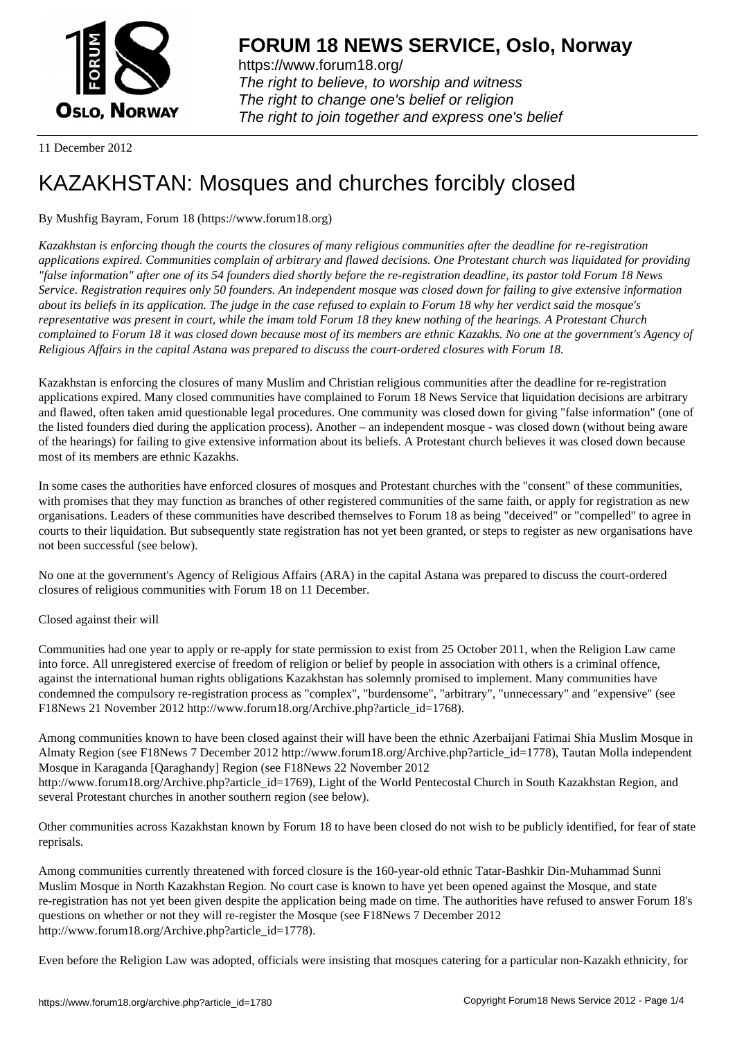

https://www.forum18.org/ The right to believe, to worship and witness The right to change one's belief or religion [The right to join together a](https://www.forum18.org/)nd express one's belief

11 December 2012

# [KAZAKHSTAN:](https://www.forum18.org) Mosques and churches forcibly closed

# By Mushfig Bayram, Forum 18 (https://www.forum18.org)

*Kazakhstan is enforcing though the courts the closures of many religious communities after the deadline for re-registration applications expired. Communities complain of arbitrary and flawed decisions. One Protestant church was liquidated for providing "false information" after one of its 54 founders died shortly before the re-registration deadline, its pastor told Forum 18 News Service. Registration requires only 50 founders. An independent mosque was closed down for failing to give extensive information about its beliefs in its application. The judge in the case refused to explain to Forum 18 why her verdict said the mosque's representative was present in court, while the imam told Forum 18 they knew nothing of the hearings. A Protestant Church complained to Forum 18 it was closed down because most of its members are ethnic Kazakhs. No one at the government's Agency of Religious Affairs in the capital Astana was prepared to discuss the court-ordered closures with Forum 18.*

Kazakhstan is enforcing the closures of many Muslim and Christian religious communities after the deadline for re-registration applications expired. Many closed communities have complained to Forum 18 News Service that liquidation decisions are arbitrary and flawed, often taken amid questionable legal procedures. One community was closed down for giving "false information" (one of the listed founders died during the application process). Another – an independent mosque - was closed down (without being aware of the hearings) for failing to give extensive information about its beliefs. A Protestant church believes it was closed down because most of its members are ethnic Kazakhs.

In some cases the authorities have enforced closures of mosques and Protestant churches with the "consent" of these communities, with promises that they may function as branches of other registered communities of the same faith, or apply for registration as new organisations. Leaders of these communities have described themselves to Forum 18 as being "deceived" or "compelled" to agree in courts to their liquidation. But subsequently state registration has not yet been granted, or steps to register as new organisations have not been successful (see below).

No one at the government's Agency of Religious Affairs (ARA) in the capital Astana was prepared to discuss the court-ordered closures of religious communities with Forum 18 on 11 December.

Closed against their will

Communities had one year to apply or re-apply for state permission to exist from 25 October 2011, when the Religion Law came into force. All unregistered exercise of freedom of religion or belief by people in association with others is a criminal offence, against the international human rights obligations Kazakhstan has solemnly promised to implement. Many communities have condemned the compulsory re-registration process as "complex", "burdensome", "arbitrary", "unnecessary" and "expensive" (see F18News 21 November 2012 http://www.forum18.org/Archive.php?article\_id=1768).

Among communities known to have been closed against their will have been the ethnic Azerbaijani Fatimai Shia Muslim Mosque in Almaty Region (see F18News 7 December 2012 http://www.forum18.org/Archive.php?article\_id=1778), Tautan Molla independent Mosque in Karaganda [Qaraghandy] Region (see F18News 22 November 2012 http://www.forum18.org/Archive.php?article\_id=1769), Light of the World Pentecostal Church in South Kazakhstan Region, and several Protestant churches in another southern region (see below).

Other communities across Kazakhstan known by Forum 18 to have been closed do not wish to be publicly identified, for fear of state reprisals.

Among communities currently threatened with forced closure is the 160-year-old ethnic Tatar-Bashkir Din-Muhammad Sunni Muslim Mosque in North Kazakhstan Region. No court case is known to have yet been opened against the Mosque, and state re-registration has not yet been given despite the application being made on time. The authorities have refused to answer Forum 18's questions on whether or not they will re-register the Mosque (see F18News 7 December 2012 http://www.forum18.org/Archive.php?article\_id=1778).

Even before the Religion Law was adopted, officials were insisting that mosques catering for a particular non-Kazakh ethnicity, for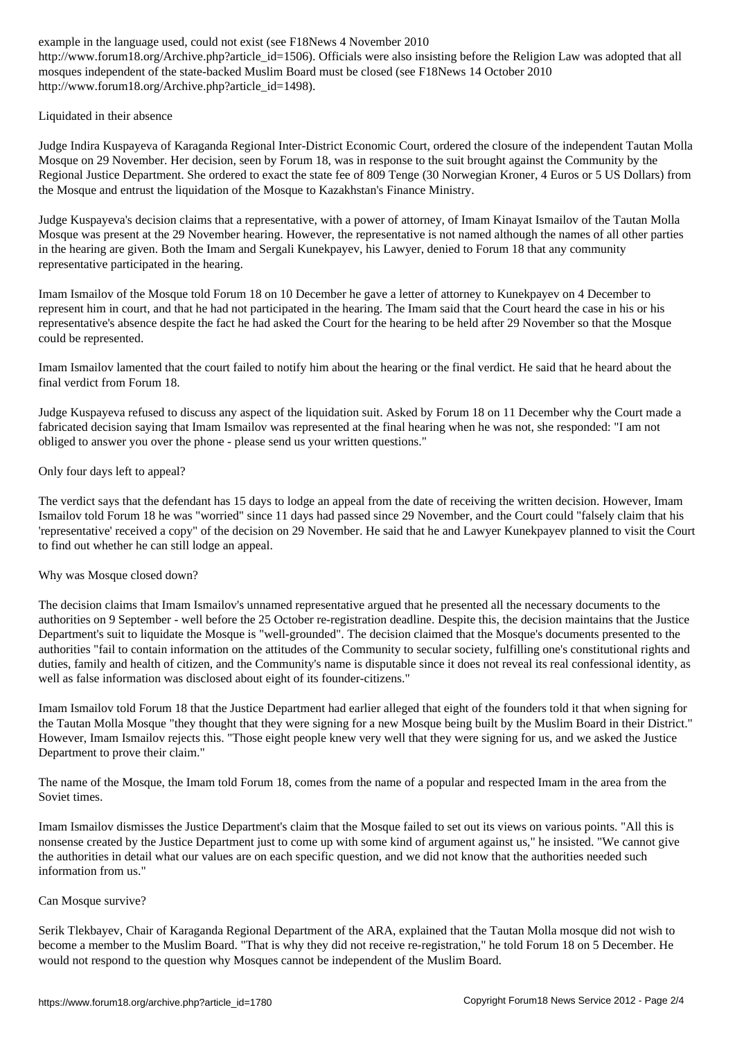if the contract article insisting before also institute the Religion Law was adopted that all the Religion Law was adopted that all the Religion Law was adopted that all the Religion Law was adopted that all the Religion mosques independent of the state-backed Muslim Board must be closed (see F18News 14 October 2010 http://www.forum18.org/Archive.php?article\_id=1498).

# Liquidated in their absence

Judge Indira Kuspayeva of Karaganda Regional Inter-District Economic Court, ordered the closure of the independent Tautan Molla Mosque on 29 November. Her decision, seen by Forum 18, was in response to the suit brought against the Community by the Regional Justice Department. She ordered to exact the state fee of 809 Tenge (30 Norwegian Kroner, 4 Euros or 5 US Dollars) from the Mosque and entrust the liquidation of the Mosque to Kazakhstan's Finance Ministry.

Judge Kuspayeva's decision claims that a representative, with a power of attorney, of Imam Kinayat Ismailov of the Tautan Molla Mosque was present at the 29 November hearing. However, the representative is not named although the names of all other parties in the hearing are given. Both the Imam and Sergali Kunekpayev, his Lawyer, denied to Forum 18 that any community representative participated in the hearing.

Imam Ismailov of the Mosque told Forum 18 on 10 December he gave a letter of attorney to Kunekpayev on 4 December to represent him in court, and that he had not participated in the hearing. The Imam said that the Court heard the case in his or his representative's absence despite the fact he had asked the Court for the hearing to be held after 29 November so that the Mosque could be represented.

Imam Ismailov lamented that the court failed to notify him about the hearing or the final verdict. He said that he heard about the final verdict from Forum 18.

Judge Kuspayeva refused to discuss any aspect of the liquidation suit. Asked by Forum 18 on 11 December why the Court made a fabricated decision saying that Imam Ismailov was represented at the final hearing when he was not, she responded: "I am not obliged to answer you over the phone - please send us your written questions."

# Only four days left to appeal?

The verdict says that the defendant has 15 days to lodge an appeal from the date of receiving the written decision. However, Imam Ismailov told Forum 18 he was "worried" since 11 days had passed since 29 November, and the Court could "falsely claim that his 'representative' received a copy" of the decision on 29 November. He said that he and Lawyer Kunekpayev planned to visit the Court to find out whether he can still lodge an appeal.

# Why was Mosque closed down?

The decision claims that Imam Ismailov's unnamed representative argued that he presented all the necessary documents to the authorities on 9 September - well before the 25 October re-registration deadline. Despite this, the decision maintains that the Justice Department's suit to liquidate the Mosque is "well-grounded". The decision claimed that the Mosque's documents presented to the authorities "fail to contain information on the attitudes of the Community to secular society, fulfilling one's constitutional rights and duties, family and health of citizen, and the Community's name is disputable since it does not reveal its real confessional identity, as well as false information was disclosed about eight of its founder-citizens."

Imam Ismailov told Forum 18 that the Justice Department had earlier alleged that eight of the founders told it that when signing for the Tautan Molla Mosque "they thought that they were signing for a new Mosque being built by the Muslim Board in their District." However, Imam Ismailov rejects this. "Those eight people knew very well that they were signing for us, and we asked the Justice Department to prove their claim."

The name of the Mosque, the Imam told Forum 18, comes from the name of a popular and respected Imam in the area from the Soviet times.

Imam Ismailov dismisses the Justice Department's claim that the Mosque failed to set out its views on various points. "All this is nonsense created by the Justice Department just to come up with some kind of argument against us," he insisted. "We cannot give the authorities in detail what our values are on each specific question, and we did not know that the authorities needed such information from us."

# Can Mosque survive?

Serik Tlekbayev, Chair of Karaganda Regional Department of the ARA, explained that the Tautan Molla mosque did not wish to become a member to the Muslim Board. "That is why they did not receive re-registration," he told Forum 18 on 5 December. He would not respond to the question why Mosques cannot be independent of the Muslim Board.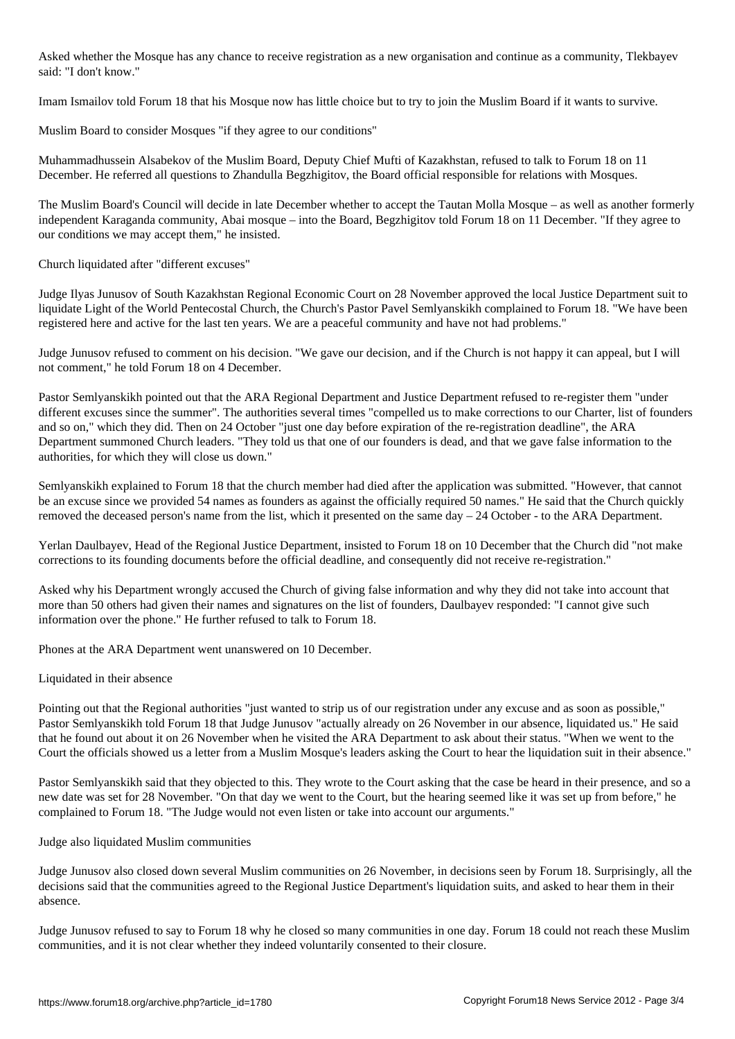Asked whether the Mosque has any chance to receive registration as a new organisation and continue as a community, Tlekbayev said: "I don't know."

Imam Ismailov told Forum 18 that his Mosque now has little choice but to try to join the Muslim Board if it wants to survive.

Muslim Board to consider Mosques "if they agree to our conditions"

Muhammadhussein Alsabekov of the Muslim Board, Deputy Chief Mufti of Kazakhstan, refused to talk to Forum 18 on 11 December. He referred all questions to Zhandulla Begzhigitov, the Board official responsible for relations with Mosques.

The Muslim Board's Council will decide in late December whether to accept the Tautan Molla Mosque – as well as another formerly independent Karaganda community, Abai mosque – into the Board, Begzhigitov told Forum 18 on 11 December. "If they agree to our conditions we may accept them," he insisted.

Church liquidated after "different excuses"

Judge Ilyas Junusov of South Kazakhstan Regional Economic Court on 28 November approved the local Justice Department suit to liquidate Light of the World Pentecostal Church, the Church's Pastor Pavel Semlyanskikh complained to Forum 18. "We have been registered here and active for the last ten years. We are a peaceful community and have not had problems."

Judge Junusov refused to comment on his decision. "We gave our decision, and if the Church is not happy it can appeal, but I will not comment," he told Forum 18 on 4 December.

Pastor Semlyanskikh pointed out that the ARA Regional Department and Justice Department refused to re-register them "under different excuses since the summer". The authorities several times "compelled us to make corrections to our Charter, list of founders and so on," which they did. Then on 24 October "just one day before expiration of the re-registration deadline", the ARA Department summoned Church leaders. "They told us that one of our founders is dead, and that we gave false information to the authorities, for which they will close us down."

Semlyanskikh explained to Forum 18 that the church member had died after the application was submitted. "However, that cannot be an excuse since we provided 54 names as founders as against the officially required 50 names." He said that the Church quickly removed the deceased person's name from the list, which it presented on the same day  $-24$  October - to the ARA Department.

Yerlan Daulbayev, Head of the Regional Justice Department, insisted to Forum 18 on 10 December that the Church did "not make corrections to its founding documents before the official deadline, and consequently did not receive re-registration."

Asked why his Department wrongly accused the Church of giving false information and why they did not take into account that more than 50 others had given their names and signatures on the list of founders, Daulbayev responded: "I cannot give such information over the phone." He further refused to talk to Forum 18.

Phones at the ARA Department went unanswered on 10 December.

#### Liquidated in their absence

Pointing out that the Regional authorities "just wanted to strip us of our registration under any excuse and as soon as possible," Pastor Semlyanskikh told Forum 18 that Judge Junusov "actually already on 26 November in our absence, liquidated us." He said that he found out about it on 26 November when he visited the ARA Department to ask about their status. "When we went to the Court the officials showed us a letter from a Muslim Mosque's leaders asking the Court to hear the liquidation suit in their absence."

Pastor Semlyanskikh said that they objected to this. They wrote to the Court asking that the case be heard in their presence, and so a new date was set for 28 November. "On that day we went to the Court, but the hearing seemed like it was set up from before," he complained to Forum 18. "The Judge would not even listen or take into account our arguments."

Judge also liquidated Muslim communities

Judge Junusov also closed down several Muslim communities on 26 November, in decisions seen by Forum 18. Surprisingly, all the decisions said that the communities agreed to the Regional Justice Department's liquidation suits, and asked to hear them in their absence.

Judge Junusov refused to say to Forum 18 why he closed so many communities in one day. Forum 18 could not reach these Muslim communities, and it is not clear whether they indeed voluntarily consented to their closure.